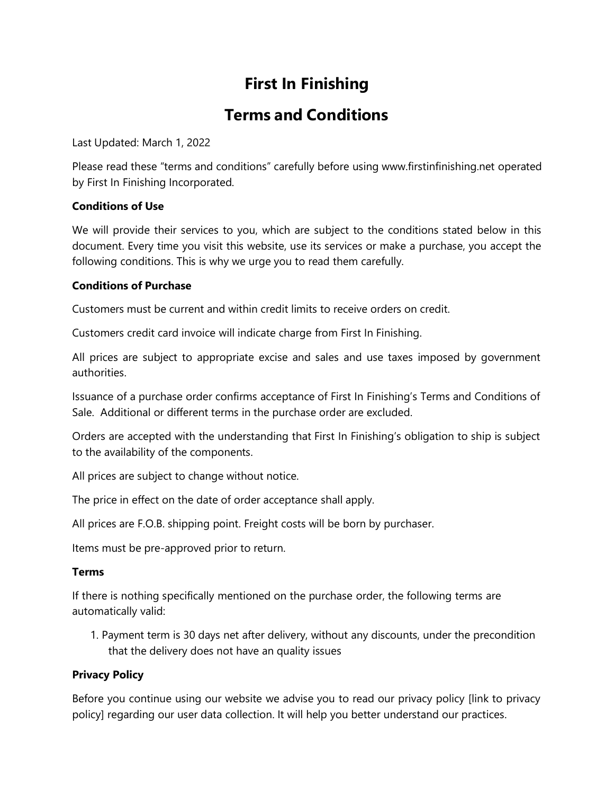# **First In Finishing**

# **Terms and Conditions**

Last Updated: March 1, 2022

Please read these "terms and conditions" carefully before using [www.firstinfinishing.net](http://www.firstinfinishing.net/) operated by First In Finishing Incorporated.

# **Conditions of Use**

We will provide their services to you, which are subject to the conditions stated below in this document. Every time you visit this website, use its services or make a purchase, you accept the following conditions. This is why we urge you to read them carefully.

# **Conditions of Purchase**

Customers must be current and within credit limits to receive orders on credit.

Customers credit card invoice will indicate charge from First In Finishing.

All prices are subject to appropriate excise and sales and use taxes imposed by government authorities.

Issuance of a purchase order confirms acceptance of First In Finishing's Terms and Conditions of Sale. Additional or different terms in the purchase order are excluded.

Orders are accepted with the understanding that First In Finishing's obligation to ship is subject to the availability of the components.

All prices are subject to change without notice.

The price in effect on the date of order acceptance shall apply.

All prices are F.O.B. shipping point. Freight costs will be born by purchaser.

Items must be pre-approved prior to return.

# **Terms**

If there is nothing specifically mentioned on the purchase order, the following terms are automatically valid:

1. Payment term is 30 days net after delivery, without any discounts, under the precondition that the delivery does not have an quality issues

# **Privacy Policy**

Before you continue using our website we advise you to read our privacy policy [link to privacy policy] regarding our user data collection. It will help you better understand our practices.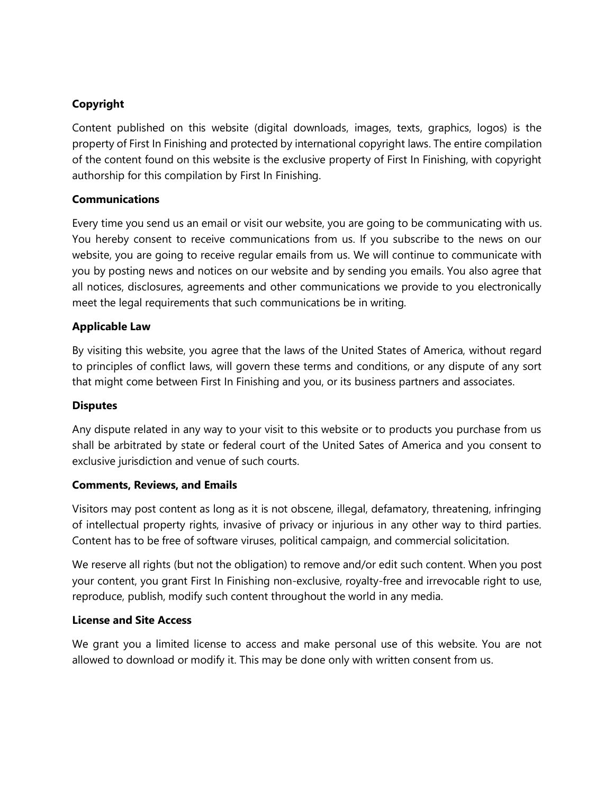# **Copyright**

Content published on this website (digital downloads, images, texts, graphics, logos) is the property of First In Finishing and protected by international copyright laws. The entire compilation of the content found on this website is the exclusive property of First In Finishing, with copyright authorship for this compilation by First In Finishing.

#### **Communications**

Every time you send us an email or visit our website, you are going to be communicating with us. You hereby consent to receive communications from us. If you subscribe to the news on our website, you are going to receive regular emails from us. We will continue to communicate with you by posting news and notices on our website and by sending you emails. You also agree that all notices, disclosures, agreements and other communications we provide to you electronically meet the legal requirements that such communications be in writing.

#### **Applicable Law**

By visiting this website, you agree that the laws of the United States of America, without regard to principles of conflict laws, will govern these terms and conditions, or any dispute of any sort that might come between First In Finishing and you, or its business partners and associates.

#### **Disputes**

Any dispute related in any way to your visit to this website or to products you purchase from us shall be arbitrated by state or federal court of the United Sates of America and you consent to exclusive jurisdiction and venue of such courts.

#### **Comments, Reviews, and Emails**

Visitors may post content as long as it is not obscene, illegal, defamatory, threatening, infringing of intellectual property rights, invasive of privacy or injurious in any other way to third parties. Content has to be free of software viruses, political campaign, and commercial solicitation.

We reserve all rights (but not the obligation) to remove and/or edit such content. When you post your content, you grant First In Finishing non-exclusive, royalty-free and irrevocable right to use, reproduce, publish, modify such content throughout the world in any media.

#### **License and Site Access**

We grant you a limited license to access and make personal use of this website. You are not allowed to download or modify it. This may be done only with written consent from us.